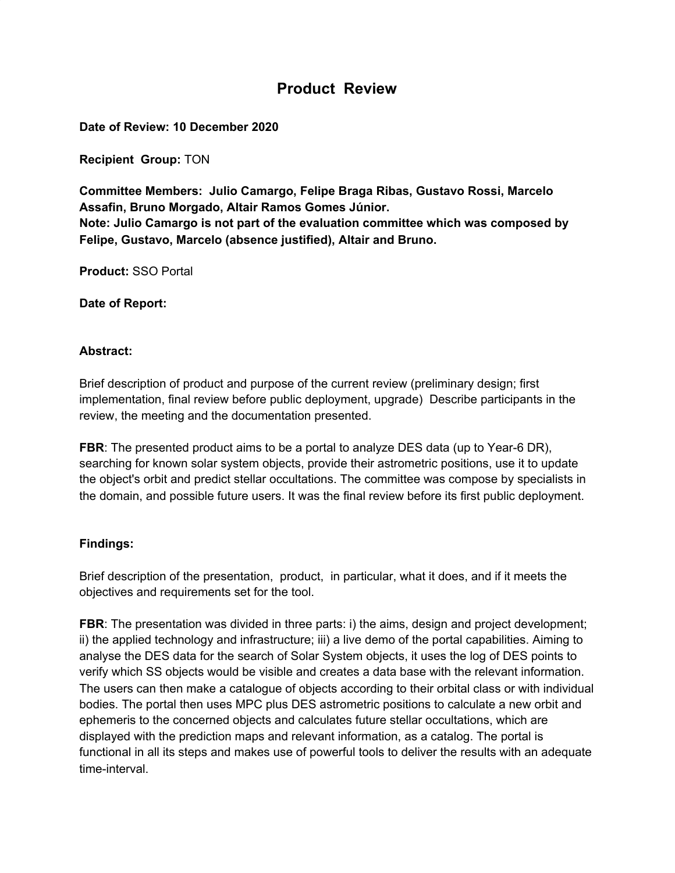# **Product Review**

**Date of Review: 10 December 2020**

**Recipient Group:** TON

**Committee Members: Julio Camargo, Felipe Braga Ribas, Gustavo Rossi, Marcelo Assafin, Bruno Morgado, Altair Ramos Gomes Júnior. Note: Julio Camargo is not part of the evaluation committee which was composed by Felipe, Gustavo, Marcelo (absence justified), Altair and Bruno.**

**Product:** SSO Portal

**Date of Report:**

#### **Abstract:**

Brief description of product and purpose of the current review (preliminary design; first implementation, final review before public deployment, upgrade) Describe participants in the review, the meeting and the documentation presented.

**FBR**: The presented product aims to be a portal to analyze DES data (up to Year-6 DR), searching for known solar system objects, provide their astrometric positions, use it to update the object's orbit and predict stellar occultations. The committee was compose by specialists in the domain, and possible future users. It was the final review before its first public deployment.

#### **Findings:**

Brief description of the presentation, product, in particular, what it does, and if it meets the objectives and requirements set for the tool.

**FBR:** The presentation was divided in three parts: i) the aims, design and project development; ii) the applied technology and infrastructure; iii) a live demo of the portal capabilities. Aiming to analyse the DES data for the search of Solar System objects, it uses the log of DES points to verify which SS objects would be visible and creates a data base with the relevant information. The users can then make a catalogue of objects according to their orbital class or with individual bodies. The portal then uses MPC plus DES astrometric positions to calculate a new orbit and ephemeris to the concerned objects and calculates future stellar occultations, which are displayed with the prediction maps and relevant information, as a catalog. The portal is functional in all its steps and makes use of powerful tools to deliver the results with an adequate time-interval.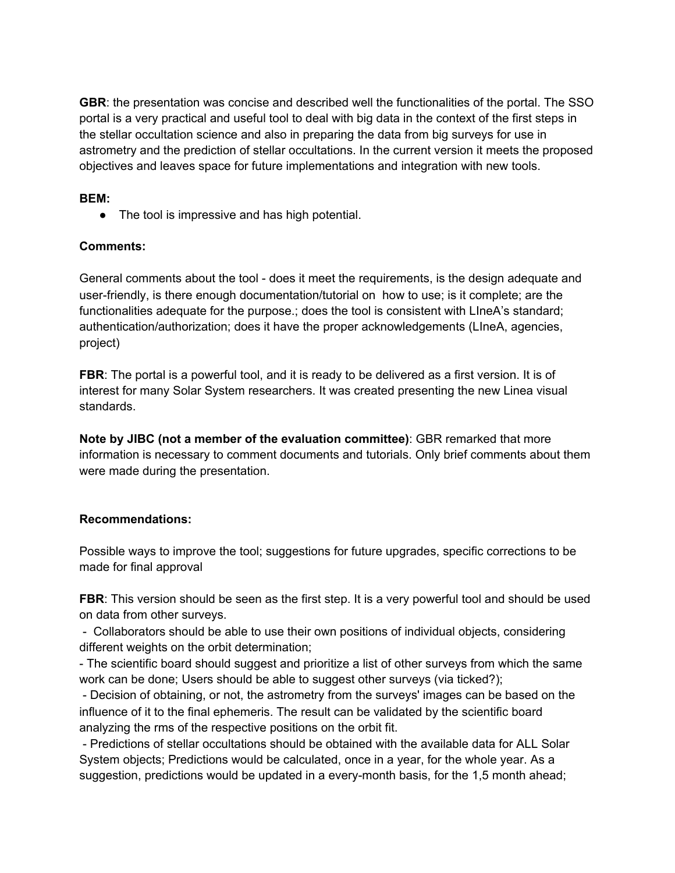**GBR**: the presentation was concise and described well the functionalities of the portal. The SSO portal is a very practical and useful tool to deal with big data in the context of the first steps in the stellar occultation science and also in preparing the data from big surveys for use in astrometry and the prediction of stellar occultations. In the current version it meets the proposed objectives and leaves space for future implementations and integration with new tools.

## **BEM:**

• The tool is impressive and has high potential.

## **Comments:**

General comments about the tool - does it meet the requirements, is the design adequate and user-friendly, is there enough documentation/tutorial on how to use; is it complete; are the functionalities adequate for the purpose.; does the tool is consistent with LIneA's standard; authentication/authorization; does it have the proper acknowledgements (LIneA, agencies, project)

**FBR**: The portal is a powerful tool, and it is ready to be delivered as a first version. It is of interest for many Solar System researchers. It was created presenting the new Linea visual standards.

**Note by JIBC (not a member of the evaluation committee)**: GBR remarked that more information is necessary to comment documents and tutorials. Only brief comments about them were made during the presentation.

#### **Recommendations:**

Possible ways to improve the tool; suggestions for future upgrades, specific corrections to be made for final approval

**FBR:** This version should be seen as the first step. It is a very powerful tool and should be used on data from other surveys.

- Collaborators should be able to use their own positions of individual objects, considering different weights on the orbit determination;

- The scientific board should suggest and prioritize a list of other surveys from which the same work can be done; Users should be able to suggest other surveys (via ticked?);

- Decision of obtaining, or not, the astrometry from the surveys' images can be based on the influence of it to the final ephemeris. The result can be validated by the scientific board analyzing the rms of the respective positions on the orbit fit.

- Predictions of stellar occultations should be obtained with the available data for ALL Solar System objects; Predictions would be calculated, once in a year, for the whole year. As a suggestion, predictions would be updated in a every-month basis, for the 1,5 month ahead;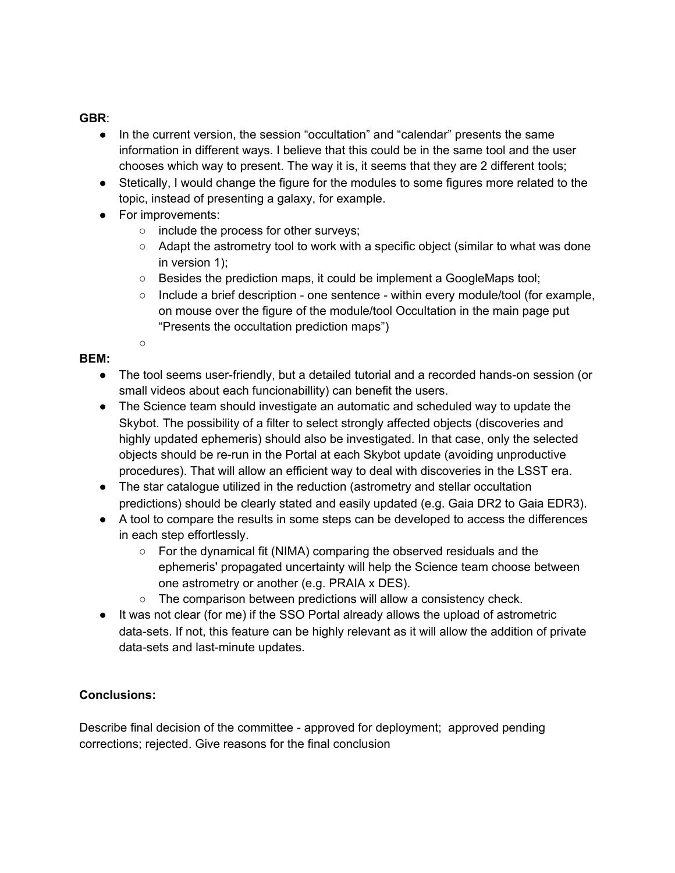## **GBR**:

- In the current version, the session "occultation" and "calendar" presents the same information in different ways. I believe that this could be in the same tool and the user chooses which way to present. The way it is, it seems that they are 2 different tools;
- Stetically, I would change the figure for the modules to some figures more related to the topic, instead of presenting a galaxy, for example.
- For improvements:

○

- include the process for other surveys;
- Adapt the astrometry tool to work with a specific object (similar to what was done in version 1);
- Besides the prediction maps, it could be implement a GoogleMaps tool;
- $\circ$  Include a brief description one sentence within every module/tool (for example, on mouse over the figure of the module/tool Occultation in the main page put "Presents the occultation prediction maps")

## **BEM:**

- The tool seems user-friendly, but a detailed tutorial and a recorded hands-on session (or small videos about each funcionabillity) can benefit the users.
- The Science team should investigate an automatic and scheduled way to update the Skybot. The possibility of a filter to select strongly affected objects (discoveries and highly updated ephemeris) should also be investigated. In that case, only the selected objects should be re-run in the Portal at each Skybot update (avoiding unproductive procedures). That will allow an efficient way to deal with discoveries in the LSST era.
- The star catalogue utilized in the reduction (astrometry and stellar occultation predictions) should be clearly stated and easily updated (e.g. Gaia DR2 to Gaia EDR3).
- A tool to compare the results in some steps can be developed to access the differences in each step effortlessly.
	- For the dynamical fit (NIMA) comparing the observed residuals and the ephemeris' propagated uncertainty will help the Science team choose between one astrometry or another (e.g. PRAIA x DES).
	- The comparison between predictions will allow a consistency check.
- It was not clear (for me) if the SSO Portal already allows the upload of astrometric data-sets. If not, this feature can be highly relevant as it will allow the addition of private data-sets and last-minute updates.

## **Conclusions:**

Describe final decision of the committee - approved for deployment; approved pending corrections; rejected. Give reasons for the final conclusion